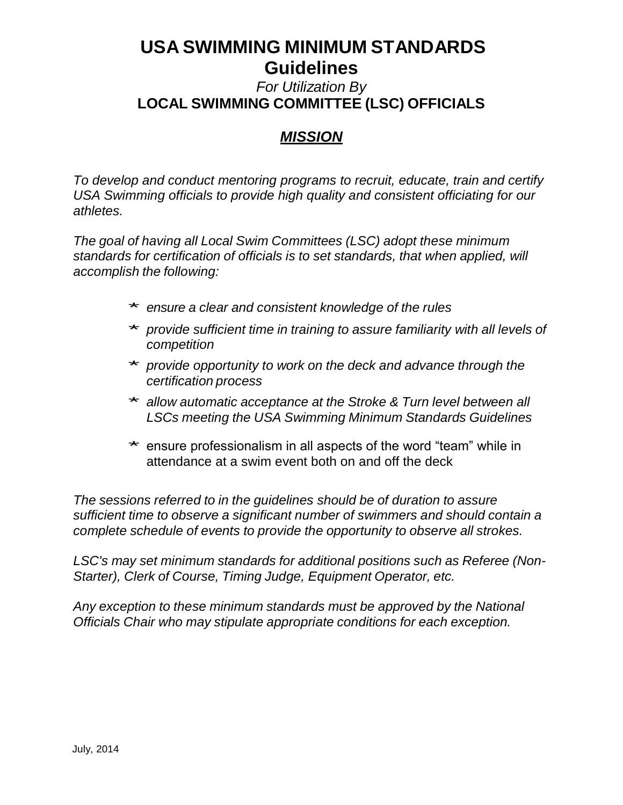#### *For Utilization By* **LOCAL SWIMMING COMMITTEE (LSC) OFFICIALS**

#### *MISSION*

*To develop and conduct mentoring programs to recruit, educate, train and certify USA Swimming officials to provide high quality and consistent officiating for our athletes.* 

*The goal of having all Local Swim Committees (LSC) adopt these minimum standards for certification of officials is to set standards, that when applied, will accomplish the following:*

- \* *ensure <sup>a</sup> clear and consistent knowledge of the rules*
- \* *provide sufficient time in training to assure familiarity with all levels of competition*
- \* *provide opportunity to work on the deck and advance through the certification process*
- \* *allow automatic acceptance at the Stroke & Turn level between all LSCs meeting the USA Swimming Minimum Standards Guidelines*
- ensure professionalism in all aspects of the word "team" while in attendance at a swim event both on and off the deck

*The sessions referred to in the guidelines should be of duration to assure sufficient time to observe a significant number of swimmers and should contain a complete schedule of events to provide the opportunity to observe all strokes.*

*LSC's may set minimum standards for additional positions such as Referee (Non-Starter), Clerk of Course, Timing Judge, Equipment Operator, etc.*

*Any exception to these minimum standards must be approved by the National Officials Chair who may stipulate appropriate conditions for each exception.*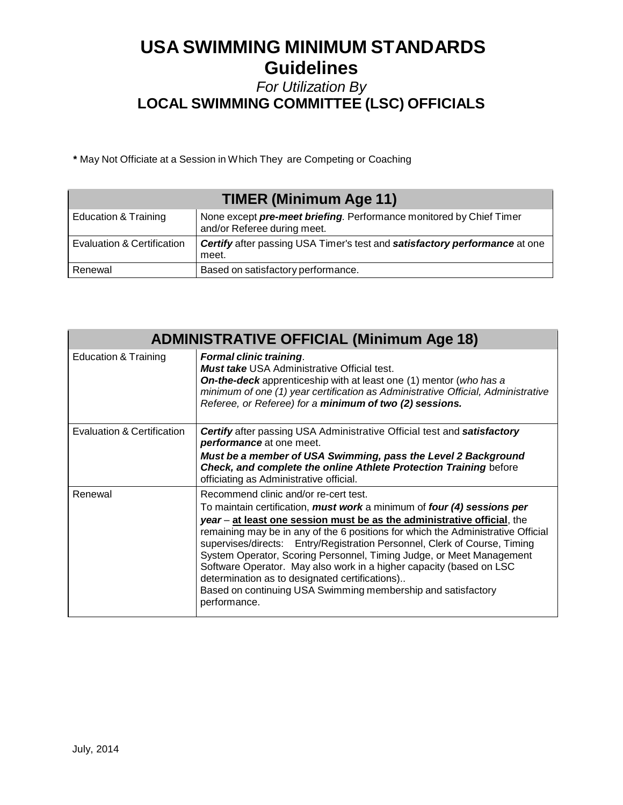#### *For Utilization By* **LOCAL SWIMMING COMMITTEE (LSC) OFFICIALS**

**\*** May Not Officiate at a Session in Which They are Competing or Coaching

| <b>TIMER (Minimum Age 11)</b>   |                                                                                                    |
|---------------------------------|----------------------------------------------------------------------------------------------------|
| <b>Education &amp; Training</b> | None except pre-meet briefing. Performance monitored by Chief Timer<br>and/or Referee during meet. |
| Evaluation & Certification      | Certify after passing USA Timer's test and satisfactory performance at one<br>meet.                |
| Renewal                         | Based on satisfactory performance.                                                                 |

| <b>ADMINISTRATIVE OFFICIAL (Minimum Age 18)</b> |                                                                                                                                                                                                                                                                                                                                                                                                                                                                                                                                                                                                                                               |
|-------------------------------------------------|-----------------------------------------------------------------------------------------------------------------------------------------------------------------------------------------------------------------------------------------------------------------------------------------------------------------------------------------------------------------------------------------------------------------------------------------------------------------------------------------------------------------------------------------------------------------------------------------------------------------------------------------------|
| <b>Education &amp; Training</b>                 | <b>Formal clinic training.</b><br>Must take USA Administrative Official test.<br><b>On-the-deck</b> apprenticeship with at least one (1) mentor (who has a<br>minimum of one (1) year certification as Administrative Official, Administrative<br>Referee, or Referee) for a minimum of two (2) sessions.                                                                                                                                                                                                                                                                                                                                     |
| Evaluation & Certification                      | <b>Certify</b> after passing USA Administrative Official test and <b>satisfactory</b><br><b>performance</b> at one meet.                                                                                                                                                                                                                                                                                                                                                                                                                                                                                                                      |
|                                                 | Must be a member of USA Swimming, pass the Level 2 Background<br>Check, and complete the online Athlete Protection Training before<br>officiating as Administrative official.                                                                                                                                                                                                                                                                                                                                                                                                                                                                 |
| Renewal                                         | Recommend clinic and/or re-cert test.<br>To maintain certification, must work a minimum of four (4) sessions per<br>year - at least one session must be as the administrative official, the<br>remaining may be in any of the 6 positions for which the Administrative Official<br>supervises/directs: Entry/Registration Personnel, Clerk of Course, Timing<br>System Operator, Scoring Personnel, Timing Judge, or Meet Management<br>Software Operator. May also work in a higher capacity (based on LSC<br>determination as to designated certifications)<br>Based on continuing USA Swimming membership and satisfactory<br>performance. |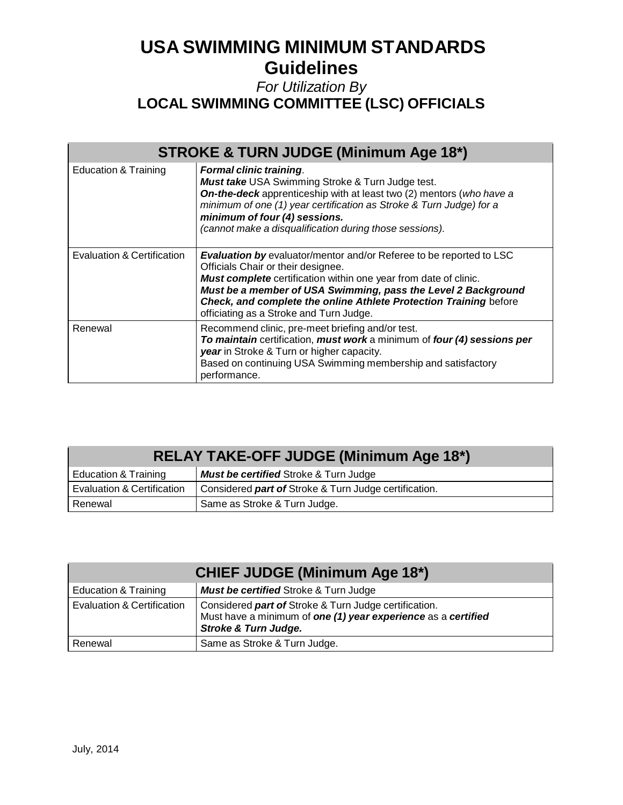### *For Utilization By* **LOCAL SWIMMING COMMITTEE (LSC) OFFICIALS**

| <b>STROKE &amp; TURN JUDGE (Minimum Age 18*)</b> |                                                                                                                                                                                                                                                                                                                                                                |  |
|--------------------------------------------------|----------------------------------------------------------------------------------------------------------------------------------------------------------------------------------------------------------------------------------------------------------------------------------------------------------------------------------------------------------------|--|
| <b>Education &amp; Training</b>                  | <b>Formal clinic training.</b><br>Must take USA Swimming Stroke & Turn Judge test.<br>On-the-deck apprenticeship with at least two (2) mentors (who have a<br>minimum of one (1) year certification as Stroke & Turn Judge) for a<br>minimum of four (4) sessions.<br>(cannot make a disqualification during those sessions).                                  |  |
| Evaluation & Certification                       | Evaluation by evaluator/mentor and/or Referee to be reported to LSC<br>Officials Chair or their designee.<br>Must complete certification within one year from date of clinic.<br>Must be a member of USA Swimming, pass the Level 2 Background<br>Check, and complete the online Athlete Protection Training before<br>officiating as a Stroke and Turn Judge. |  |
| Renewal                                          | Recommend clinic, pre-meet briefing and/or test.<br>To maintain certification, must work a minimum of four (4) sessions per<br>year in Stroke & Turn or higher capacity.<br>Based on continuing USA Swimming membership and satisfactory<br>performance.                                                                                                       |  |

| <b>RELAY TAKE-OFF JUDGE (Minimum Age 18*)</b> |                                                       |  |
|-----------------------------------------------|-------------------------------------------------------|--|
| <b>Education &amp; Training</b>               | <b>Must be certified Stroke &amp; Turn Judge</b>      |  |
| Evaluation & Certification                    | Considered part of Stroke & Turn Judge certification. |  |
| Renewal                                       | Same as Stroke & Turn Judge.                          |  |

| <b>CHIEF JUDGE (Minimum Age 18*)</b> |                                                                                                                                                           |  |
|--------------------------------------|-----------------------------------------------------------------------------------------------------------------------------------------------------------|--|
| <b>Education &amp; Training</b>      | <b>Must be certified Stroke &amp; Turn Judge</b>                                                                                                          |  |
| Evaluation & Certification           | Considered part of Stroke & Turn Judge certification.<br>Must have a minimum of one (1) year experience as a certified<br><b>Stroke &amp; Turn Judge.</b> |  |
| Renewal                              | Same as Stroke & Turn Judge.                                                                                                                              |  |